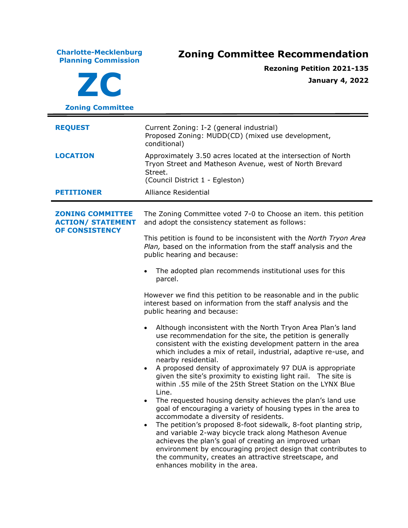**Charlotte-Mecklenburg Planning Commission Zoning Committee Recommendation ZC Zoning Committee Rezoning Petition 2021-135 January 4, 2022 REQUEST** Current Zoning: I-2 (general industrial) Proposed Zoning: MUDD(CD) (mixed use development, conditional) **LOCATION** Approximately 3.50 acres located at the intersection of North Tryon Street and Matheson Avenue, west of North Brevard Street. (Council District 1 - Egleston) **PETITIONER** Alliance Residential **ZONING COMMITTEE ACTION/ STATEMENT OF CONSISTENCY** The Zoning Committee voted 7-0 to Choose an item. this petition and adopt the consistency statement as follows: This petition is found to be inconsistent with the *North Tryon Area Plan,* based on the information from the staff analysis and the public hearing and because: • The adopted plan recommends institutional uses for this parcel. However we find this petition to be reasonable and in the public interest based on information from the staff analysis and the public hearing and because: • Although inconsistent with the North Tryon Area Plan's land use recommendation for the site, the petition is generally consistent with the existing development pattern in the area which includes a mix of retail, industrial, adaptive re-use, and nearby residential. • A proposed density of approximately 97 DUA is appropriate given the site's proximity to existing light rail. The site is within .55 mile of the 25th Street Station on the LYNX Blue Line. The requested housing density achieves the plan's land use goal of encouraging a variety of housing types in the area to accommodate a diversity of residents. • The petition's proposed 8-foot sidewalk, 8-foot planting strip, and variable 2-way bicycle track along Matheson Avenue achieves the plan's goal of creating an improved urban environment by encouraging project design that contributes to the community, creates an attractive streetscape, and enhances mobility in the area.